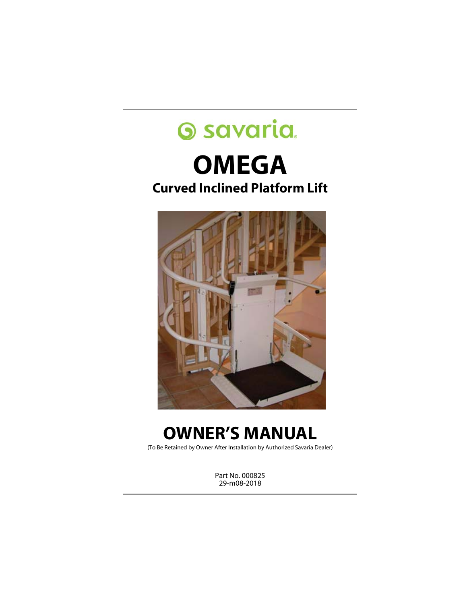# **Savaria OMEGA Curved Inclined Platform Lift**



# **OWNER'S MANUAL**

(To Be Retained by Owner After Installation by Authorized Savaria Dealer)

Part No. 000825 29-m08-2018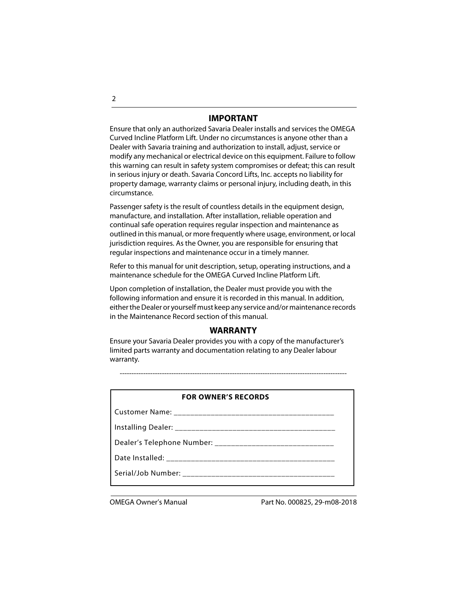### **IMPORTANT**

Ensure that only an authorized Savaria Dealer installs and services the OMEGA Curved Incline Platform Lift. Under no circumstances is anyone other than a Dealer with Savaria training and authorization to install, adjust, service or modify any mechanical or electrical device on this equipment. Failure to follow this warning can result in safety system compromises or defeat; this can result in serious injury or death. Savaria Concord Lifts, Inc. accepts no liability for property damage, warranty claims or personal injury, including death, in this circumstance.

Passenger safety is the result of countless details in the equipment design, manufacture, and installation. After installation, reliable operation and continual safe operation requires regular inspection and maintenance as outlined in this manual, or more frequently where usage, environment, or local jurisdiction requires. As the Owner, you are responsible for ensuring that regular inspections and maintenance occur in a timely manner.

Refer to this manual for unit description, setup, operating instructions, and a maintenance schedule for the OMEGA Curved Incline Platform Lift.

Upon completion of installation, the Dealer must provide you with the following information and ensure it is recorded in this manual. In addition, either the Dealer or yourself must keep any service and/or maintenance records in the Maintenance Record section of this manual.

## **WARRANTY**

Ensure your Savaria Dealer provides you with a copy of the manufacturer's limited parts warranty and documentation relating to any Dealer labour warranty.

-------------------------------------------------------------------------------------------------

| <b>FOR OWNER'S RECORDS</b> |  |  |  |
|----------------------------|--|--|--|
|                            |  |  |  |
|                            |  |  |  |
|                            |  |  |  |
|                            |  |  |  |
|                            |  |  |  |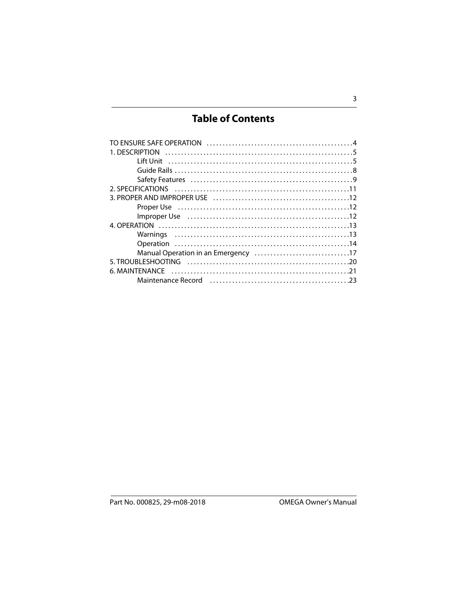# **Table of Contents**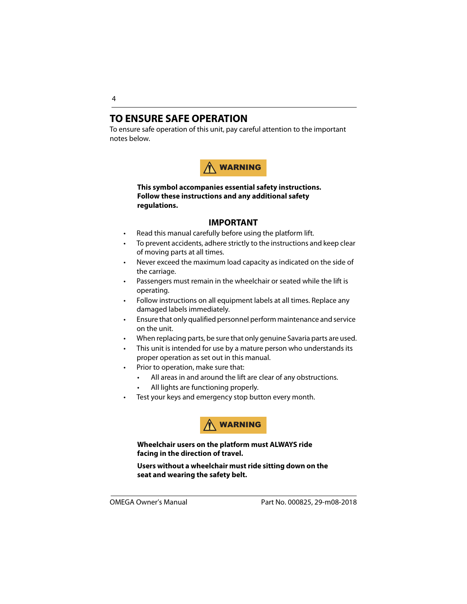# <span id="page-3-0"></span>**TO ENSURE SAFE OPERATION**

To ensure safe operation of this unit, pay careful attention to the important notes below.



### **This symbol accompanies essential safety instructions. Follow these instructions and any additional safety regulations.**

### **IMPORTANT**

- Read this manual carefully before using the platform lift.
- To prevent accidents, adhere strictly to the instructions and keep clear of moving parts at all times.
- Never exceed the maximum load capacity as indicated on the side of the carriage.
- Passengers must remain in the wheelchair or seated while the lift is operating.
- Follow instructions on all equipment labels at all times. Replace any damaged labels immediately.
- Ensure that only qualified personnel perform maintenance and service on the unit.
- When replacing parts, be sure that only genuine Savaria parts are used.
- This unit is intended for use by a mature person who understands its proper operation as set out in this manual.
- Prior to operation, make sure that:
	- All areas in and around the lift are clear of any obstructions.
	- All lights are functioning properly.
- Test your keys and emergency stop button every month.



**Wheelchair users on the platform must ALWAYS ride facing in the direction of travel.**

**Users without a wheelchair must ride sitting down on the seat and wearing the safety belt.**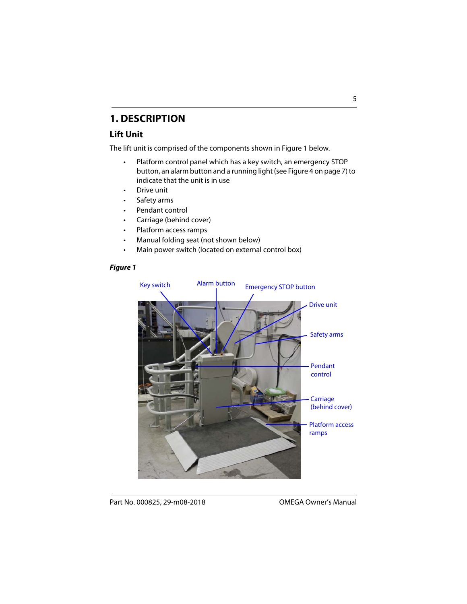# <span id="page-4-0"></span>**1. DESCRIPTION**

# <span id="page-4-1"></span>**Lift Unit**

The lift unit is comprised of the components shown in Figure 1 below.

- Platform control panel which has a key switch, an emergency STOP button, an alarm button and a running light (see Figure 4 on page 7) to indicate that the unit is in use
- Drive unit
- Safety arms
- Pendant control
- Carriage (behind cover)
- Platform access ramps
- Manual folding seat (not shown below)
- Main power switch (located on external control box)

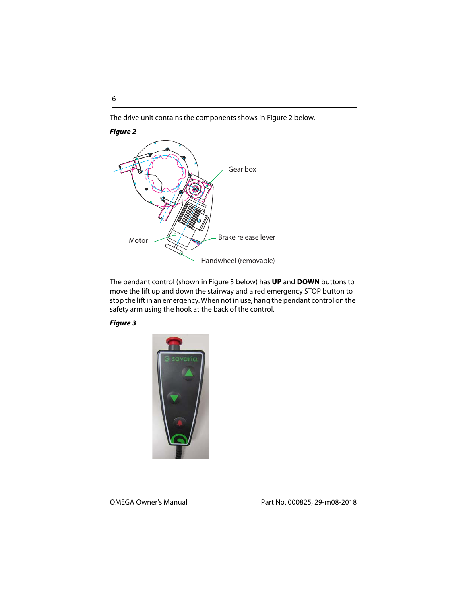The drive unit contains the components shows in Figure 2 below.

### **Figure 2**



The pendant control (shown in Figure 3 below) has **UP** and **DOWN** buttons to move the lift up and down the stairway and a red emergency STOP button to stop the lift in an emergency. When not in use, hang the pendant control on the safety arm using the hook at the back of the control.

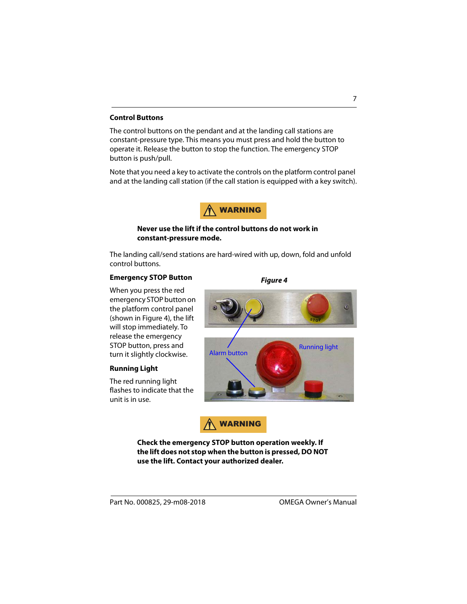#### **Control Buttons**

The control buttons on the pendant and at the landing call stations are constant-pressure type. This means you must press and hold the button to operate it. Release the button to stop the function. The emergency STOP button is push/pull.

Note that you need a key to activate the controls on the platform control panel and at the landing call station (if the call station is equipped with a key switch).



### **Never use the lift if the control buttons do not work in constant-pressure mode.**

The landing call/send stations are hard-wired with up, down, fold and unfold control buttons.

#### **Emergency STOP Button**

When you press the red emergency STOP button on the platform control panel (shown in Figure 4), the lift will stop immediately. To release the emergency STOP button, press and turn it slightly clockwise.

### **Running Light**

The red running light flashes to indicate that the unit is in use.

**Running light Alarm button** 

**Figure 4**



**Check the emergency STOP button operation weekly. If the lift does not stop when the button is pressed, DO NOT use the lift. Contact your authorized dealer.**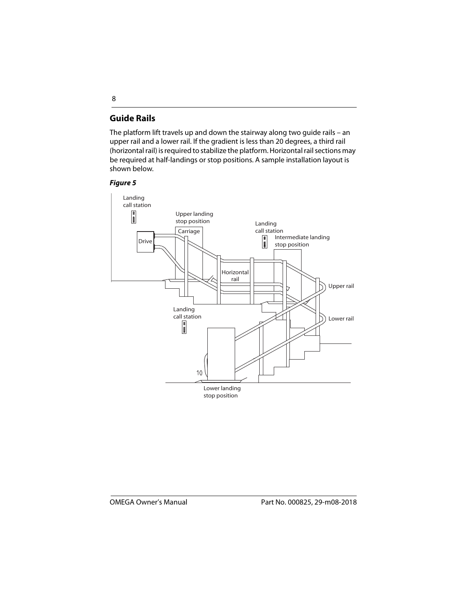# **Guide Rails**

The platform lift travels up and down the stairway along two guide rails – an upper rail and a lower rail. If the gradient is less than 20 degrees, a third rail (horizontal rail) is required to stabilize the platform. Horizontal rail sections may be required at half-landings or stop positions. A sample installation layout is shown below.

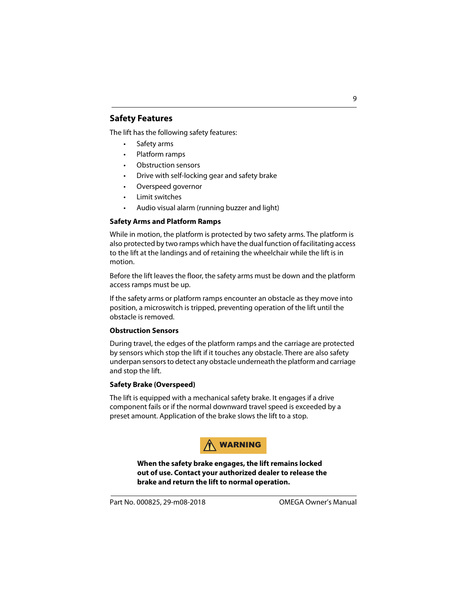# **Safety Features**

The lift has the following safety features:

- Safety arms
- Platform ramps
- Obstruction sensors
- Drive with self-locking gear and safety brake
- Overspeed governor
- Limit switches
- Audio visual alarm (running buzzer and light)

### **Safety Arms and Platform Ramps**

While in motion, the platform is protected by two safety arms. The platform is also protected by two ramps which have the dual function of facilitating access to the lift at the landings and of retaining the wheelchair while the lift is in motion.

Before the lift leaves the floor, the safety arms must be down and the platform access ramps must be up.

If the safety arms or platform ramps encounter an obstacle as they move into position, a microswitch is tripped, preventing operation of the lift until the obstacle is removed.

#### **Obstruction Sensors**

During travel, the edges of the platform ramps and the carriage are protected by sensors which stop the lift if it touches any obstacle. There are also safety underpan sensors to detect any obstacle underneath the platform and carriage and stop the lift.

### **Safety Brake (Overspeed)**

The lift is equipped with a mechanical safety brake. It engages if a drive component fails or if the normal downward travel speed is exceeded by a preset amount. Application of the brake slows the lift to a stop.



**When the safety brake engages, the lift remains locked out of use. Contact your authorized dealer to release the brake and return the lift to normal operation.**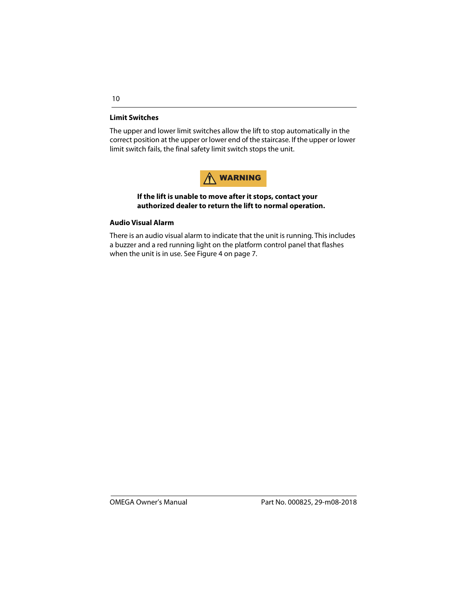### **Limit Switches**

The upper and lower limit switches allow the lift to stop automatically in the correct position at the upper or lower end of the staircase. If the upper or lower limit switch fails, the final safety limit switch stops the unit.



### **If the lift is unable to move after it stops, contact your authorized dealer to return the lift to normal operation.**

### **Audio Visual Alarm**

There is an audio visual alarm to indicate that the unit is running. This includes a buzzer and a red running light on the platform control panel that flashes when the unit is in use. See Figure 4 on page 7.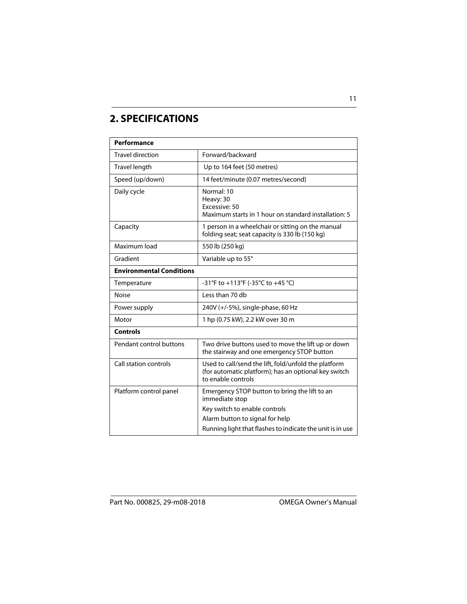# **2. SPECIFICATIONS**

| <b>Performance</b>              |                                                                                                                                    |  |  |  |
|---------------------------------|------------------------------------------------------------------------------------------------------------------------------------|--|--|--|
| <b>Travel direction</b>         | Forward/backward                                                                                                                   |  |  |  |
| Travel length                   | Up to 164 feet (50 metres)                                                                                                         |  |  |  |
| Speed (up/down)                 | 14 feet/minute (0.07 metres/second)                                                                                                |  |  |  |
| Daily cycle                     | Normal: 10<br>Heavy: 30<br>Excessive: 50<br>Maximum starts in 1 hour on standard installation: 5                                   |  |  |  |
| Capacity                        | 1 person in a wheelchair or sitting on the manual<br>folding seat; seat capacity is 330 lb (150 kg)                                |  |  |  |
| Maximum load                    | 550 lb (250 kg)                                                                                                                    |  |  |  |
| Gradient                        | Variable up to 55°                                                                                                                 |  |  |  |
| <b>Environmental Conditions</b> |                                                                                                                                    |  |  |  |
| Temperature                     | -31°F to +113°F (-35°C to +45 °C)                                                                                                  |  |  |  |
| Noise                           | Less than 70 db                                                                                                                    |  |  |  |
| Power supply                    | 240V (+/-5%), single-phase, 60 Hz                                                                                                  |  |  |  |
| Motor                           | 1 hp (0.75 kW), 2.2 kW over 30 m                                                                                                   |  |  |  |
| <b>Controls</b>                 |                                                                                                                                    |  |  |  |
| Pendant control buttons         | Two drive buttons used to move the lift up or down<br>the stairway and one emergency STOP button                                   |  |  |  |
| Call station controls           | Used to call/send the lift, fold/unfold the platform<br>(for automatic platform); has an optional key switch<br>to enable controls |  |  |  |
| Platform control panel          | Emergency STOP button to bring the lift to an<br>immediate stop                                                                    |  |  |  |
|                                 | Key switch to enable controls                                                                                                      |  |  |  |
|                                 | Alarm button to signal for help<br>Running light that flashes to indicate the unit is in use                                       |  |  |  |
|                                 |                                                                                                                                    |  |  |  |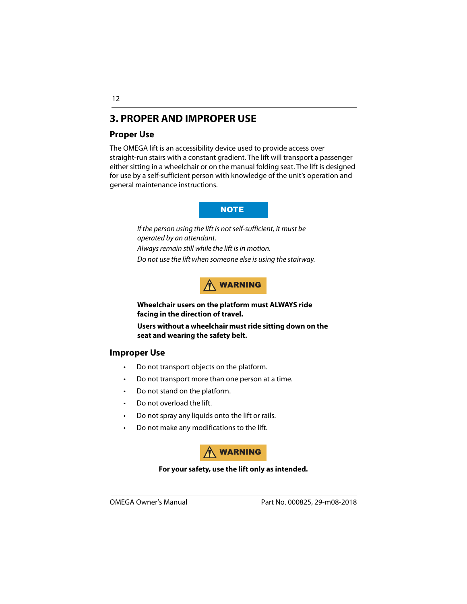# **3. PROPER AND IMPROPER USE**

# **Proper Use**

The OMEGA lift is an accessibility device used to provide access over straight-run stairs with a constant gradient. The lift will transport a passenger either sitting in a wheelchair or on the manual folding seat. The lift is designed for use by a self-sufficient person with knowledge of the unit's operation and general maintenance instructions.

### **NOTE**

If the person using the lift is not self-sufficient, it must be operated by an attendant. Always remain still while the lift is in motion. Do not use the lift when someone else is using the stairway.

WARNING

**Wheelchair users on the platform must ALWAYS ride facing in the direction of travel.**

**Users without a wheelchair must ride sitting down on the seat and wearing the safety belt.**

## **Improper Use**

- Do not transport objects on the platform.
- Do not transport more than one person at a time.
- Do not stand on the platform.
- Do not overload the lift.
- Do not spray any liquids onto the lift or rails.
- Do not make any modifications to the lift.



### **For your safety, use the lift only as intended.**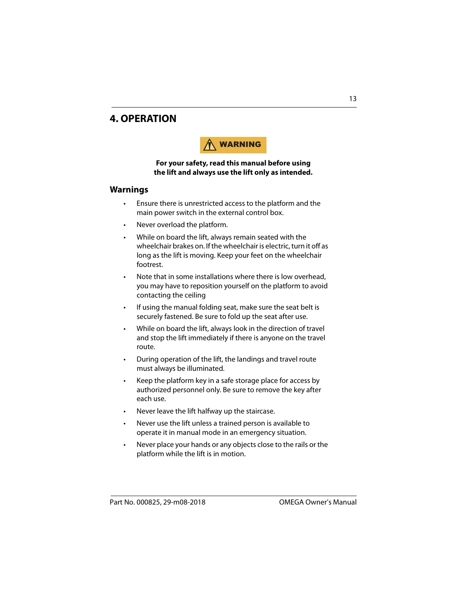# **4. OPERATION**



#### **For your safety, read this manual before using the lift and always use the lift only as intended.**

### <span id="page-12-0"></span>**Warnings**

- Ensure there is unrestricted access to the platform and the main power switch in the external control box.
- Never overload the platform.
- While on board the lift, always remain seated with the wheelchair brakes on. If the wheelchair is electric, turn it off as long as the lift is moving. Keep your feet on the wheelchair footrest.
- Note that in some installations where there is low overhead, you may have to reposition yourself on the platform to avoid contacting the ceiling
- If using the manual folding seat, make sure the seat belt is securely fastened. Be sure to fold up the seat after use.
- While on board the lift, always look in the direction of travel and stop the lift immediately if there is anyone on the travel route.
- During operation of the lift, the landings and travel route must always be illuminated.
- Keep the platform key in a safe storage place for access by authorized personnel only. Be sure to remove the key after each use.
- Never leave the lift halfway up the staircase.
- Never use the lift unless a trained person is available to operate it in manual mode in an emergency situation.
- Never place your hands or any objects close to the rails or the platform while the lift is in motion.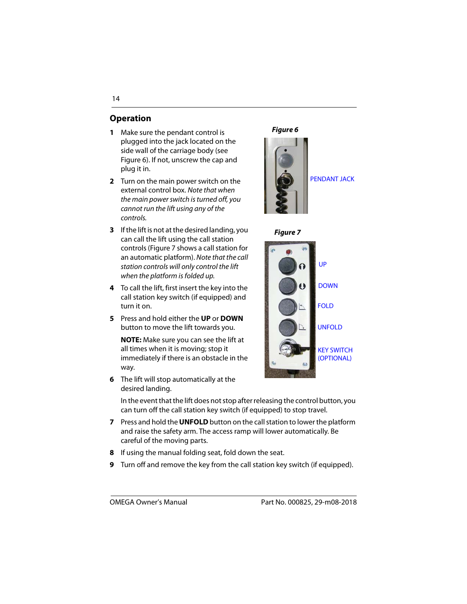# **Operation**

- **1** Make sure the pendant control is plugged into the jack located on the side wall of the carriage body (see Figure 6). If not, unscrew the cap and plug it in.
- **2** Turn on the main power switch on the external control box. Note that when the main power switch is turned off, you cannot run the lift using any of the controls.
- **3** If the lift is not at the desired landing, you can call the lift using the call station controls (Figure 7 shows a call station for an automatic platform). Note that the call station controls will only control the lift when the platform is folded up.
- **4** To call the lift, first insert the key into the call station key switch (if equipped) and turn it on.
- **5** Press and hold either the **UP** or **DOWN** button to move the lift towards you.

**NOTE:** Make sure you can see the lift at all times when it is moving; stop it immediately if there is an obstacle in the way.

**6** The lift will stop automatically at the desired landing.

### **Figure 6**



PENDANT JACK





In the event that the lift does not stop after releasing the control button, you can turn off the call station key switch (if equipped) to stop travel.

- **7** Press and hold the **UNFOLD** button on the call station to lower the platform and raise the safety arm. The access ramp will lower automatically. Be careful of the moving parts.
- **8** If using the manual folding seat, fold down the seat.
- **9** Turn off and remove the key from the call station key switch (if equipped).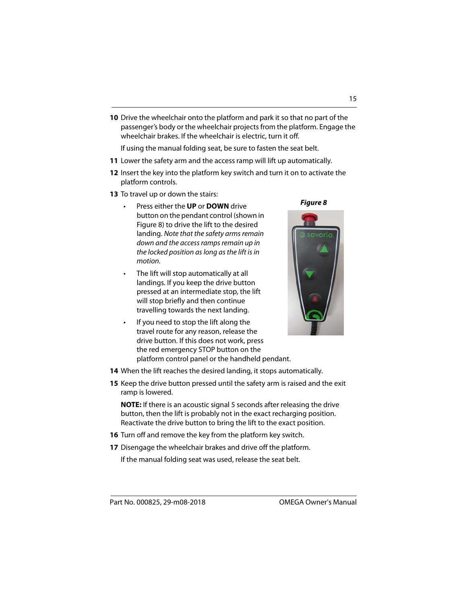Part No. 000825, 29-m08-2018 OMEGA Owner's Manual

**10** Drive the wheelchair onto the platform and park it so that no part of the passenger's body or the wheelchair projects from the platform. Engage the wheelchair brakes. If the wheelchair is electric, turn it off.

If using the manual folding seat, be sure to fasten the seat belt.

- **11** Lower the safety arm and the access ramp will lift up automatically.
- **12** Insert the key into the platform key switch and turn it on to activate the platform controls.
- **13** To travel up or down the stairs:
	- Press either the **UP** or **DOWN** drive button on the pendant control (shown in Figure 8) to drive the lift to the desired landing. Note that the safety arms remain down and the access ramps remain up in the locked position as long as the lift is in motion.
	- The lift will stop automatically at all landings. If you keep the drive button pressed at an intermediate stop, the lift will stop briefly and then continue travelling towards the next landing.
	- If you need to stop the lift along the travel route for any reason, release the drive button. If this does not work, press the red emergency STOP button on the platform control panel or the handheld pendant.



**Figure 8**

- **14** When the lift reaches the desired landing, it stops automatically.
- **15** Keep the drive button pressed until the safety arm is raised and the exit ramp is lowered.

**NOTE:** If there is an acoustic signal 5 seconds after releasing the drive button, then the lift is probably not in the exact recharging position. Reactivate the drive button to bring the lift to the exact position.

- **16** Turn off and remove the key from the platform key switch.
- **17** Disengage the wheelchair brakes and drive off the platform.

If the manual folding seat was used, release the seat belt.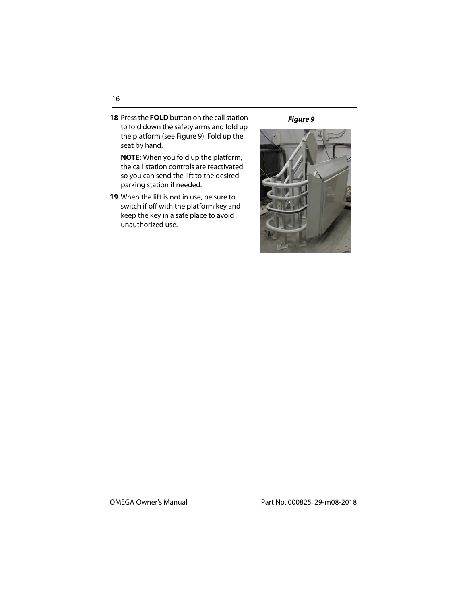**18** Press the **FOLD** button on the call station to fold down the safety arms and fold up the platform (see Figure 9). Fold up the seat by hand.

**NOTE:** When you fold up the platform, the call station controls are reactivated so you can send the lift to the desired parking station if needed.

**19** When the lift is not in use, be sure to switch if off with the platform key and keep the key in a safe place to avoid unauthorized use.

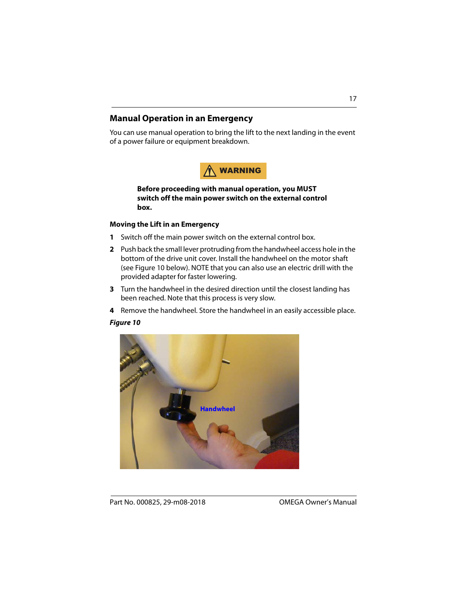### **Manual Operation in an Emergency**

You can use manual operation to bring the lift to the next landing in the event of a power failure or equipment breakdown.



**Before proceeding with manual operation, you MUST switch off the main power switch on the external control box.**

### **Moving the Lift in an Emergency**

- **1** Switch off the main power switch on the external control box.
- **2** Push back the small lever protruding from the handwheel access hole in the bottom of the drive unit cover. Install the handwheel on the motor shaft (see Figure 10 below). NOTE that you can also use an electric drill with the provided adapter for faster lowering.
- **3** Turn the handwheel in the desired direction until the closest landing has been reached. Note that this process is very slow.
- **4** Remove the handwheel. Store the handwheel in an easily accessible place.

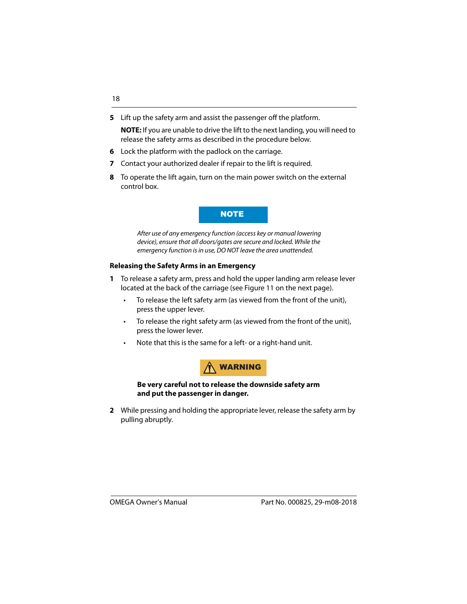**5** Lift up the safety arm and assist the passenger off the platform.

**NOTE:** If you are unable to drive the lift to the next landing, you will need to release the safety arms as described in the procedure below.

- **6** Lock the platform with the padlock on the carriage.
- **7** Contact your authorized dealer if repair to the lift is required.
- **8** To operate the lift again, turn on the main power switch on the external control box.

### NOTE

After use of any emergency function (access key or manual lowering device), ensure that all doors/gates are secure and locked. While the emergency function is in use, DO NOT leave the area unattended.

### **Releasing the Safety Arms in an Emergency**

- **1** To release a safety arm, press and hold the upper landing arm release lever located at the back of the carriage (see Figure 11 on the next page).
	- To release the left safety arm (as viewed from the front of the unit), press the upper lever.
	- To release the right safety arm (as viewed from the front of the unit), press the lower lever.
	- Note that this is the same for a left- or a right-hand unit.



**Be very careful not to release the downside safety arm and put the passenger in danger.**

**2** While pressing and holding the appropriate lever, release the safety arm by pulling abruptly.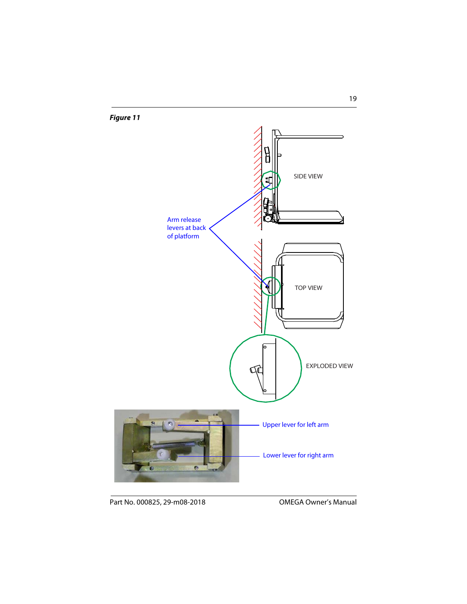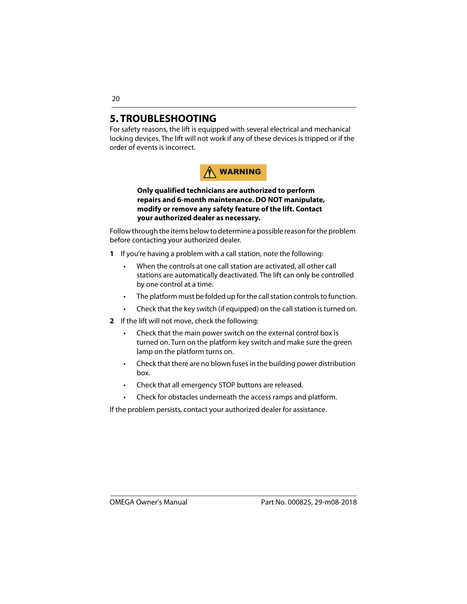# **5. TROUBLESHOOTING**

For safety reasons, the lift is equipped with several electrical and mechanical locking devices. The lift will not work if any of these devices is tripped or if the order of events is incorrect.



### **Only qualified technicians are authorized to perform repairs and 6-month maintenance. DO NOT manipulate, modify or remove any safety feature of the lift. Contact your authorized dealer as necessary.**

Follow through the items below to determine a possible reason for the problem before contacting your authorized dealer.

- **1** If you're having a problem with a call station, note the following:
	- When the controls at one call station are activated, all other call stations are automatically deactivated. The lift can only be controlled by one control at a time.
	- The platform must be folded up for the call station controls to function.
	- Check that the key switch (if equipped) on the call station is turned on.
- **2** If the lift will not move, check the following:
	- Check that the main power switch on the external control box is turned on. Turn on the platform key switch and make sure the green lamp on the platform turns on.
	- Check that there are no blown fuses in the building power distribution box.
	- Check that all emergency STOP buttons are released.
	- Check for obstacles underneath the access ramps and platform.

If the problem persists, contact your authorized dealer for assistance.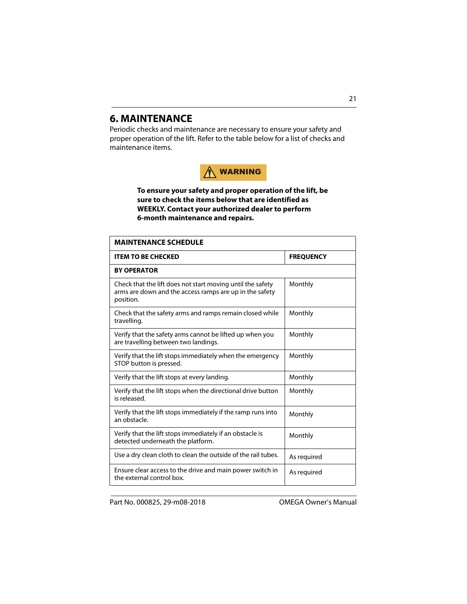# <span id="page-20-0"></span>**6. MAINTENANCE**

Periodic checks and maintenance are necessary to ensure your safety and proper operation of the lift. Refer to the table below for a list of checks and maintenance items.



**To ensure your safety and proper operation of the lift, be sure to check the items below that are identified as WEEKLY. Contact your authorized dealer to perform 6-month maintenance and repairs.**

| <b>MAINTENANCE SCHEDULE</b>                                                                                                        |                  |  |
|------------------------------------------------------------------------------------------------------------------------------------|------------------|--|
| <b>ITEM TO BE CHECKED</b>                                                                                                          | <b>FREQUENCY</b> |  |
| <b>BY OPERATOR</b>                                                                                                                 |                  |  |
| Check that the lift does not start moving until the safety<br>arms are down and the access ramps are up in the safety<br>position. | Monthly          |  |
| Check that the safety arms and ramps remain closed while<br>travelling.                                                            | Monthly          |  |
| Verify that the safety arms cannot be lifted up when you<br>are travelling between two landings.                                   | Monthly          |  |
| Verify that the lift stops immediately when the emergency<br>STOP button is pressed.                                               | Monthly          |  |
| Verify that the lift stops at every landing.                                                                                       | Monthly          |  |
| Verify that the lift stops when the directional drive button<br>is released.                                                       | Monthly          |  |
| Verify that the lift stops immediately if the ramp runs into<br>an obstacle.                                                       | Monthly          |  |
| Verify that the lift stops immediately if an obstacle is<br>detected underneath the platform.                                      | Monthly          |  |
| Use a dry clean cloth to clean the outside of the rail tubes.                                                                      | As required      |  |
| Ensure clear access to the drive and main power switch in<br>the external control box.                                             | As required      |  |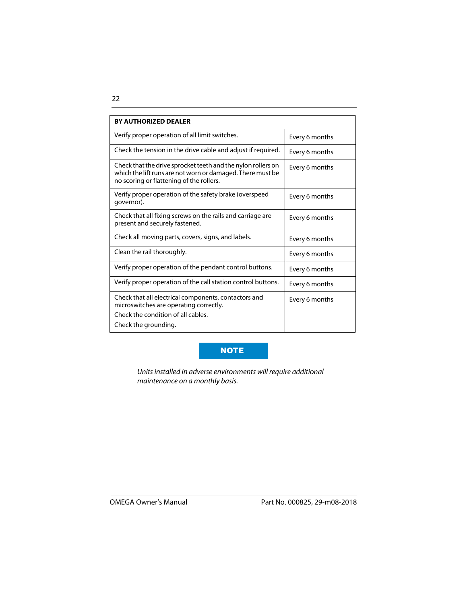| <b>BY AUTHORIZED DEALER</b>                                                                                                                                            |                |  |  |
|------------------------------------------------------------------------------------------------------------------------------------------------------------------------|----------------|--|--|
| Verify proper operation of all limit switches.                                                                                                                         | Every 6 months |  |  |
| Check the tension in the drive cable and adjust if required.                                                                                                           | Every 6 months |  |  |
| Check that the drive sprocket teeth and the nylon rollers on<br>which the lift runs are not worn or damaged. There must be<br>no scoring or flattening of the rollers. | Every 6 months |  |  |
| Verify proper operation of the safety brake (overspeed<br>governor).                                                                                                   | Every 6 months |  |  |
| Check that all fixing screws on the rails and carriage are<br>present and securely fastened.                                                                           | Every 6 months |  |  |
| Check all moving parts, covers, signs, and labels.                                                                                                                     | Every 6 months |  |  |
| Clean the rail thoroughly.                                                                                                                                             | Every 6 months |  |  |
| Verify proper operation of the pendant control buttons.                                                                                                                | Every 6 months |  |  |
| Verify proper operation of the call station control buttons.                                                                                                           | Every 6 months |  |  |
| Check that all electrical components, contactors and<br>microswitches are operating correctly.<br>Check the condition of all cables.<br>Check the grounding.           | Every 6 months |  |  |

### NOTE

Units installed in adverse environments will require additional maintenance on a monthly basis.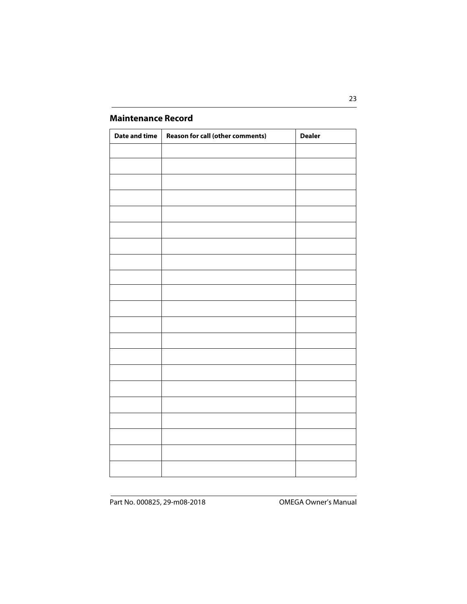# **Maintenance Record**

| <b>Date and time</b> | <b>Reason for call (other comments)</b> | <b>Dealer</b> |
|----------------------|-----------------------------------------|---------------|
|                      |                                         |               |
|                      |                                         |               |
|                      |                                         |               |
|                      |                                         |               |
|                      |                                         |               |
|                      |                                         |               |
|                      |                                         |               |
|                      |                                         |               |
|                      |                                         |               |
|                      |                                         |               |
|                      |                                         |               |
|                      |                                         |               |
|                      |                                         |               |
|                      |                                         |               |
|                      |                                         |               |
|                      |                                         |               |
|                      |                                         |               |
|                      |                                         |               |
|                      |                                         |               |
|                      |                                         |               |
|                      |                                         |               |
|                      |                                         |               |
|                      |                                         |               |